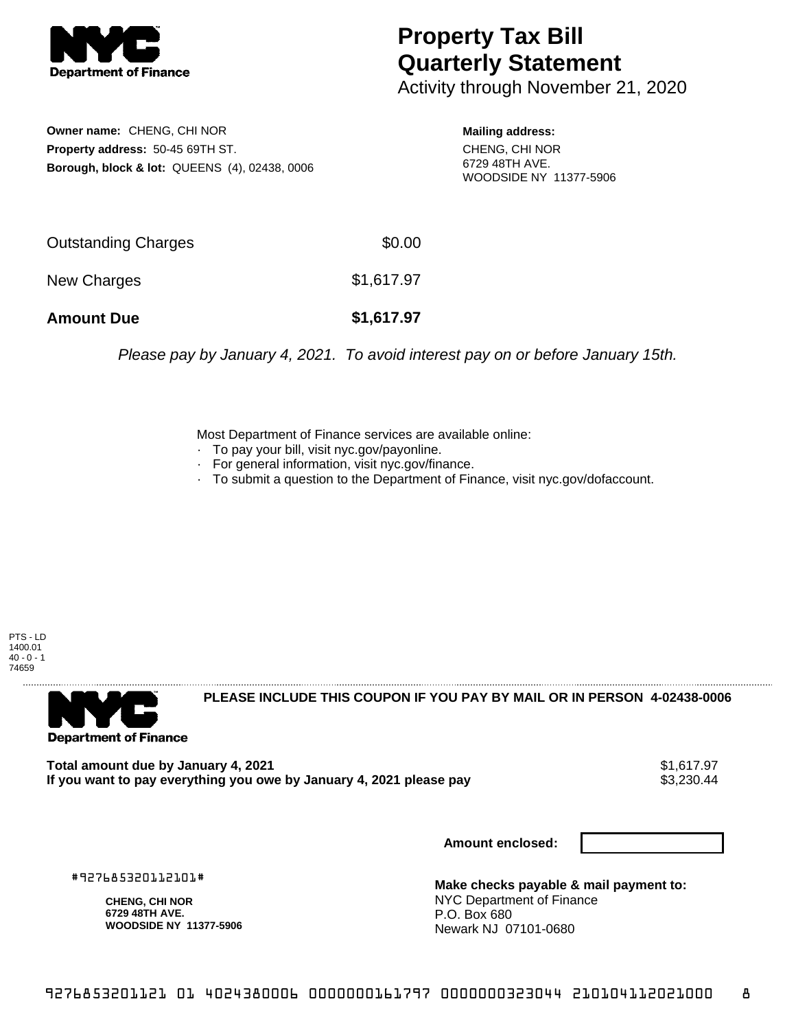

## **Property Tax Bill Quarterly Statement**

Activity through November 21, 2020

**Owner name:** CHENG, CHI NOR **Property address:** 50-45 69TH ST. **Borough, block & lot:** QUEENS (4), 02438, 0006

**Mailing address:** CHENG, CHI NOR 6729 48TH AVE. WOODSIDE NY 11377-5906

| <b>Amount Due</b>   | \$1,617.97 |
|---------------------|------------|
| New Charges         | \$1,617.97 |
| Outstanding Charges | \$0.00     |

Please pay by January 4, 2021. To avoid interest pay on or before January 15th.

Most Department of Finance services are available online:

- · To pay your bill, visit nyc.gov/payonline.
- For general information, visit nyc.gov/finance.
- · To submit a question to the Department of Finance, visit nyc.gov/dofaccount.

PTS - LD 1400.01  $40 - 0 - 1$ 74659



**PLEASE INCLUDE THIS COUPON IF YOU PAY BY MAIL OR IN PERSON 4-02438-0006** 

**Total amount due by January 4, 2021**<br>If you want to pay everything you owe by January 4, 2021 please pay **strategy of the Superior August** \$3,230.44 If you want to pay everything you owe by January 4, 2021 please pay

**Amount enclosed:**

#927685320112101#

**CHENG, CHI NOR 6729 48TH AVE. WOODSIDE NY 11377-5906**

**Make checks payable & mail payment to:** NYC Department of Finance P.O. Box 680 Newark NJ 07101-0680